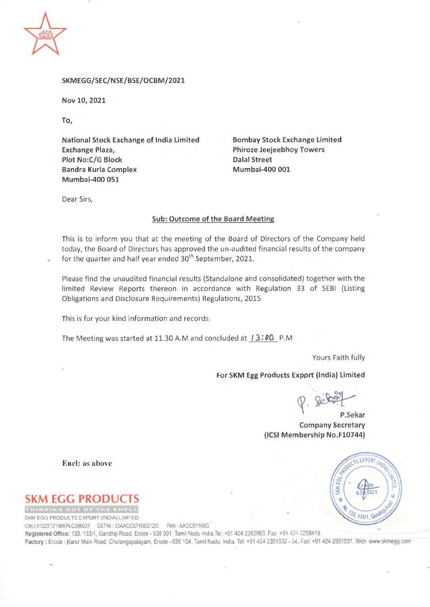

#### SKMEGG/SEC/NSE/BSE/OCBM/2021

Nov 10, 2021

To,

**National Stock Exchange of India Limited Exchange Plaza, Plot No:C/G Block Bandra Kurla Complex Mumbai-400 051** 

**Bombay Stock Exchange Limited Phiroze Jeejeebhoy Towers Dalal Street Mumbai-400 001** 

Dear Sirs,

#### **Sub: Outcome of the Board Meeting**

This is to inform you that at the meeting of the Board of Directors of the Company held today, the Board of Directors has approved the un-audited financial results of the company for the quarter and half year ended 30<sup>th</sup> September, 2021.

Please find the unaudited financial results (Standalone and consolidated) together with the limited Review Reports thereon in accordance with Regulation 33 of SEBI (Listing Obligations and Disclosure Requirements) Regulations, 2015

This is for your kind information and records.

The Meeting was started at 11.30 A.Mand concluded at I 3: **00** P.M

Yours Faith fully

### **For SKM Egg Products Export (India) limited**

~ **P.Sekar** 

**Company Secretary (ICSI Membership No.F10744)** 

**Encl: as above** 

# **M EGG PRODU**

SKM EGG PRODUCTS EXPORT (INDIA) LIMITED

CIN.L01222TZ1995PLC006025 GSTIN: 33AACCS7106G1ZO PAN :AACCS7106G

Registered Office: 133, 133/1, Gandhiji Road, Erode - 638 001. Tamil Nadu India.Tel: +91 424 2262963. Fax +91 424 2258419 Factory: Erode - Karur Main Road, Cholangapalayam, Erode - 638 154, Tamil Nadu, India. Tel: +91 424 2351532 - 34, Fax: +91 424 2351531. Web: www.skmegg.com

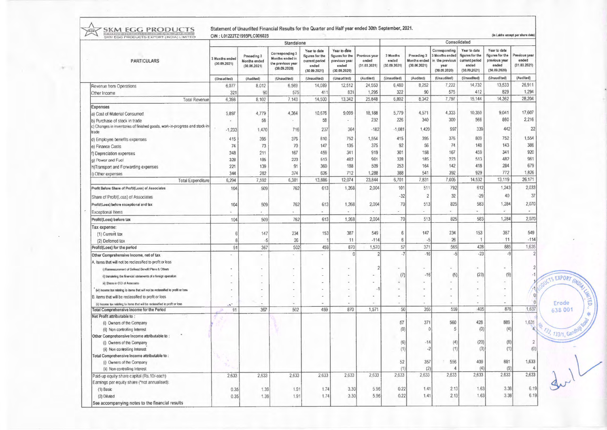SKM EGG PRODUCTS Statement of Unaudited Financial Results for the Quarter and Half year ended 30th September, 2021.

ACT V

|                                                                                      | Standalone                                    |                                                          |                                                                                        |                                                                                           |                                                                                          | Consolidated                                        |                                                  |                                                          |                                                                                           |                                                                                           |                                                                                          |                                                     |
|--------------------------------------------------------------------------------------|-----------------------------------------------|----------------------------------------------------------|----------------------------------------------------------------------------------------|-------------------------------------------------------------------------------------------|------------------------------------------------------------------------------------------|-----------------------------------------------------|--------------------------------------------------|----------------------------------------------------------|-------------------------------------------------------------------------------------------|-------------------------------------------------------------------------------------------|------------------------------------------------------------------------------------------|-----------------------------------------------------|
| <b>PARTICULARS</b>                                                                   | 3 Months ended<br>(30.09.2021)<br>(Unaudited) | Preceding 3<br>Months ended<br>(30.06.2021)<br>(Audited) | Corresponding 3<br>Months ended in<br>the previous year<br>(30.09.2020)<br>(Unaudited) | Year to date<br>figures for the<br>current period<br>ended<br>(30.09.2021)<br>(Unaudited) | Year to date<br>figures for the<br>previous year<br>ended<br>(30.09.2020)<br>(Unaudited) | Previous year<br>ended<br>(31.03.2021)<br>(Audited) | 3 Months<br>ended<br>(30.09.2021)<br>(Unaudited) | Preceding 3<br>Months ended<br>(30.06.2021)<br>(Audited) | Corresponding<br>3 Months ended<br>in the previous<br>year<br>(30.09.2020)<br>(Unaudited) | Year to date<br>figures for the<br>current period<br>ended<br>(30.09.2021)<br>(Unaudited) | Year to date<br>figures for the<br>previous year<br>ended<br>(30.09.2020)<br>(Unaudited) | Previous year<br>ended<br>(31.03.2021)<br>(Audited) |
|                                                                                      |                                               |                                                          |                                                                                        |                                                                                           |                                                                                          |                                                     |                                                  |                                                          |                                                                                           |                                                                                           |                                                                                          |                                                     |
| Other Income                                                                         | 321                                           | 90                                                       | 575                                                                                    | 411                                                                                       | 831                                                                                      | 1,295                                               | 322                                              | 90                                                       | 575                                                                                       | 412                                                                                       | 829                                                                                      | 1,294                                               |
| <b>Total Revenue</b>                                                                 | 6,398                                         | 8,102                                                    | 7,143                                                                                  | 14,500                                                                                    | 13,342                                                                                   | 25,848                                              | 6,802                                            | 8,342                                                    | 7,797                                                                                     | 15,144                                                                                    | 14,362                                                                                   | 28,204                                              |
| Expenses                                                                             |                                               |                                                          |                                                                                        |                                                                                           |                                                                                          |                                                     |                                                  |                                                          |                                                                                           |                                                                                           |                                                                                          |                                                     |
| a) Cost of Material Consumed                                                         | 5,897                                         | 4,779                                                    | 4,364                                                                                  | 10,676                                                                                    | 9,099                                                                                    | 18,188                                              | 5,779                                            | 4,571                                                    | 4,333                                                                                     | 10,350                                                                                    | 9,041                                                                                    | 17,607                                              |
| b) Purchase of stock in trade                                                        |                                               | 58                                                       |                                                                                        | 58                                                                                        |                                                                                          | 232                                                 | 226                                              | 340                                                      | 300                                                                                       | 566                                                                                       | 860                                                                                      | 2,216                                               |
| c) Changes in inventories of finished goods, work-in-progress and stock-in-<br>trade | $-1,233$                                      | 1,470                                                    | 716                                                                                    | 237                                                                                       | 364                                                                                      | $-182$                                              | $-1,081$                                         | 1,420                                                    | 997                                                                                       | 339                                                                                       | 442                                                                                      | 22                                                  |
| d) Employee benefits expenses                                                        | 415                                           | 395                                                      | 376                                                                                    | 810                                                                                       | 752                                                                                      | 1,554                                               | 415                                              | 395                                                      | 376                                                                                       | 809                                                                                       | 752                                                                                      | 1,554                                               |
| e) Finance Costs                                                                     | 74                                            | 73                                                       | 70                                                                                     | 147                                                                                       | 135                                                                                      | 375                                                 | 92                                               | 56                                                       | 74                                                                                        | 148                                                                                       | 143                                                                                      | 386                                                 |
| f) Depreciation expenses                                                             | 248                                           | 211                                                      | 167                                                                                    | 459                                                                                       | 341                                                                                      | 919                                                 | 301                                              | 158                                                      | 167                                                                                       | 459                                                                                       | 341                                                                                      | 920                                                 |
| g) Power and Fuel                                                                    | 328                                           | 185                                                      | 223                                                                                    | 513                                                                                       | 482                                                                                      | 961                                                 | 328                                              | 185                                                      | 223                                                                                       | 513                                                                                       | 482                                                                                      | 961                                                 |
| h)Transport and Forwarding expenses                                                  | 221                                           | 139                                                      | 91                                                                                     | 360                                                                                       | 188                                                                                      | 509                                                 | 253                                              | 164                                                      | 142                                                                                       | 418                                                                                       | 284                                                                                      | 679                                                 |
| i) Other expenses                                                                    | 344                                           | 282                                                      | 374                                                                                    | 626                                                                                       | 712                                                                                      | 1,288                                               | 388                                              | 541                                                      | 392                                                                                       | 929                                                                                       | 772                                                                                      | 1,826                                               |
| <b>Total Expenditure</b>                                                             | 6,294                                         | 7,592                                                    | 6,381                                                                                  | 13,886                                                                                    | 12,074                                                                                   | 23,844                                              | 6,701                                            | 7,831                                                    | 7,005                                                                                     | 14,532                                                                                    | 13,119                                                                                   | 26,171                                              |
| Profit Before Share of Proft/(Loss) of Associates.                                   | 104                                           | 509                                                      | 762                                                                                    | 613                                                                                       | 1,268                                                                                    | 2,004                                               | 101                                              | 511                                                      | 792                                                                                       | 612                                                                                       | 1,243                                                                                    | 2,033                                               |
|                                                                                      |                                               |                                                          |                                                                                        |                                                                                           |                                                                                          |                                                     | $-32$                                            | $\overline{2}$                                           | 32                                                                                        | $-29$                                                                                     | 40                                                                                       | 37                                                  |
| Share of Proft/(Loss) of Associates                                                  |                                               |                                                          |                                                                                        |                                                                                           |                                                                                          |                                                     |                                                  |                                                          |                                                                                           |                                                                                           |                                                                                          |                                                     |
| Profit/(Loss) before exceptional and tax                                             | 104                                           | 509                                                      | 762                                                                                    | 613                                                                                       | 1,268                                                                                    | 2,004                                               | 70                                               | 513                                                      | 825                                                                                       | 583                                                                                       | 1,284                                                                                    | 2,070                                               |
| <b>Exceptional Items</b>                                                             |                                               |                                                          |                                                                                        |                                                                                           |                                                                                          |                                                     |                                                  |                                                          |                                                                                           |                                                                                           |                                                                                          |                                                     |
| Profit/(Loss) before tax                                                             | 104                                           | 509                                                      | 762                                                                                    | 613                                                                                       | 1,268                                                                                    | 2,004                                               | 70                                               | 513                                                      | 825                                                                                       | 583                                                                                       | 1,284                                                                                    | 2,070                                               |
| Tax expense:                                                                         |                                               |                                                          |                                                                                        |                                                                                           |                                                                                          |                                                     |                                                  |                                                          |                                                                                           |                                                                                           |                                                                                          |                                                     |
| (1) Current tax                                                                      | 6                                             | 147                                                      | 234                                                                                    | 153                                                                                       | 387                                                                                      | 549                                                 | 6                                                | 147                                                      | 234                                                                                       | 153                                                                                       | 387                                                                                      | 549                                                 |
| (2) Deferred tax                                                                     | 6                                             | $-5$                                                     | 26                                                                                     |                                                                                           | 11                                                                                       | $-114$                                              | 6                                                |                                                          | 26                                                                                        |                                                                                           | 11                                                                                       | $-114$                                              |
| Profit/(Loss) for the period                                                         | 91                                            | 367                                                      | 502                                                                                    | 459                                                                                       | 870                                                                                      | 1,570                                               | 57                                               | 371                                                      | 565                                                                                       | 428                                                                                       | 885                                                                                      | 1,635                                               |
| Other Comprehensive Income, net of tax                                               |                                               |                                                          | $\sim$                                                                                 |                                                                                           | 0                                                                                        | $\overline{2}$                                      | $-7$                                             | $-16$                                                    | $-5$                                                                                      | $-23$                                                                                     | $-9$                                                                                     |                                                     |
| A. Items that will not be reclassified to profit or loss                             |                                               |                                                          |                                                                                        |                                                                                           |                                                                                          |                                                     |                                                  |                                                          |                                                                                           |                                                                                           |                                                                                          |                                                     |
| i) Remeasurement of Defined Benefit Plans & Others                                   |                                               |                                                          |                                                                                        |                                                                                           |                                                                                          | $\overline{2}$                                      |                                                  |                                                          | $\sim$                                                                                    |                                                                                           |                                                                                          |                                                     |
| ii) translating the financial statements of a foreign operation                      |                                               |                                                          |                                                                                        |                                                                                           |                                                                                          |                                                     | (7)                                              | $-16$                                                    | (5)                                                                                       | (23)                                                                                      | (9)                                                                                      |                                                     |
| iii) Shere in OCI of Associate                                                       |                                               |                                                          |                                                                                        |                                                                                           |                                                                                          |                                                     | $\overline{\phantom{a}}$                         |                                                          |                                                                                           |                                                                                           |                                                                                          |                                                     |
| (iv) Income tax relating to dems that will not be reclassified to profit or loss     |                                               |                                                          |                                                                                        |                                                                                           |                                                                                          |                                                     |                                                  |                                                          |                                                                                           |                                                                                           |                                                                                          | и                                                   |
| B. Items that will be reclassified to profit or loss                                 |                                               |                                                          |                                                                                        |                                                                                           |                                                                                          |                                                     |                                                  |                                                          |                                                                                           |                                                                                           |                                                                                          | $\theta$                                            |
| (ii) Income tax relating to items that will be reclassified to profit or loss        |                                               |                                                          |                                                                                        |                                                                                           |                                                                                          |                                                     |                                                  |                                                          | $\sim$                                                                                    |                                                                                           |                                                                                          |                                                     |
| Total Comprehensive Income for the Period                                            | 91                                            | 367                                                      | 502                                                                                    | 459                                                                                       | 870                                                                                      | 1,571                                               | 50                                               | 355                                                      | 559                                                                                       | 405                                                                                       | 876                                                                                      | 1,637                                               |
| Net Profit attributable to:                                                          |                                               |                                                          |                                                                                        |                                                                                           |                                                                                          |                                                     |                                                  |                                                          |                                                                                           |                                                                                           | 889                                                                                      |                                                     |
| (i) Owners of the Company                                                            |                                               |                                                          |                                                                                        |                                                                                           |                                                                                          |                                                     | 57                                               | 371                                                      | 560<br>5                                                                                  | 428<br>(0)                                                                                | (4)                                                                                      | 1,631                                               |
| (ii) Non controlling Interest                                                        |                                               |                                                          |                                                                                        |                                                                                           |                                                                                          |                                                     | (0)                                              |                                                          |                                                                                           |                                                                                           |                                                                                          |                                                     |
| Other Comprehensive Income attributable to:<br>(i) Owners of the Company             |                                               |                                                          |                                                                                        |                                                                                           |                                                                                          |                                                     | (6)                                              | -14                                                      | (4)                                                                                       | (20)                                                                                      | (8)                                                                                      | $\overline{2}$                                      |
| (ii) Non controlling Interest                                                        |                                               |                                                          |                                                                                        |                                                                                           |                                                                                          |                                                     | (1)                                              | $-2$                                                     | (1)                                                                                       | (3)                                                                                       | (1)                                                                                      | (0)                                                 |
| Total Comprehensive Income attributable to:                                          |                                               |                                                          |                                                                                        |                                                                                           |                                                                                          |                                                     |                                                  |                                                          |                                                                                           |                                                                                           |                                                                                          |                                                     |
| (i) Owners of the Company                                                            |                                               |                                                          |                                                                                        |                                                                                           |                                                                                          |                                                     | 52                                               | 357                                                      | 556                                                                                       | 409                                                                                       | 881                                                                                      | 1,633                                               |
| (ii) Non controlling Interest                                                        |                                               |                                                          |                                                                                        |                                                                                           |                                                                                          |                                                     | (1)                                              | (2)                                                      |                                                                                           | (4)                                                                                       | (9)                                                                                      |                                                     |
| Paid-up equity share capital (Rs.10/-each)                                           | 2,633                                         | 2,633                                                    | 2,633                                                                                  | 2,633                                                                                     | 2,633                                                                                    | 2,633                                               | 2,633                                            | 2,633                                                    | 2,633                                                                                     | 2,633                                                                                     | 2,633                                                                                    | 2,633                                               |
| Earnings per equity share (*not annualised):                                         |                                               |                                                          |                                                                                        |                                                                                           |                                                                                          |                                                     |                                                  |                                                          |                                                                                           |                                                                                           |                                                                                          |                                                     |
| (1) Basic                                                                            | 0.35                                          | 1.39                                                     | 1.91                                                                                   | 1.74                                                                                      | 3.30                                                                                     | 5.96                                                | 0.22                                             | 1.41                                                     | 2.13                                                                                      | 1.63                                                                                      | 3.38                                                                                     | 6.19                                                |
| (2) Diluted                                                                          | 0.35                                          | 1.39                                                     | 1.91                                                                                   | 1.74                                                                                      | 3.30                                                                                     | 5.96                                                | 0.22                                             | 1.41                                                     | 2.13                                                                                      | 1.63                                                                                      | 3.38                                                                                     | 6.19                                                |
| See accompanying notes to the financial results                                      |                                               |                                                          |                                                                                        |                                                                                           |                                                                                          |                                                     |                                                  |                                                          |                                                                                           |                                                                                           |                                                                                          |                                                     |

TS EXPORT

Erode<br>638 001

733, 133/1, Gan

亳

E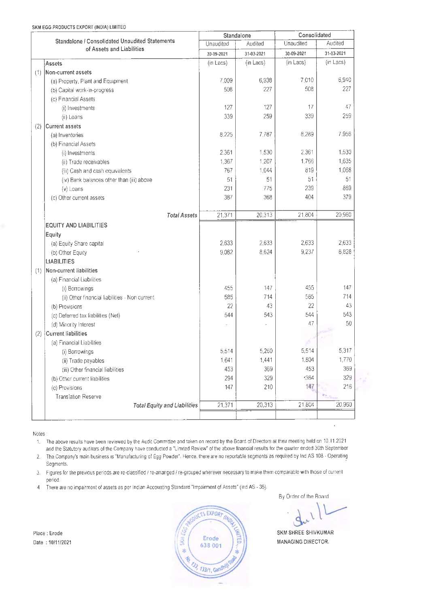|                                                | Standalone |            | Consolidated |            |  |
|------------------------------------------------|------------|------------|--------------|------------|--|
| Standalone / Consolidated Unaudited Statements | Unaudited  | Audited    | Unaudited    | Audited    |  |
| of Assets and Liabilities                      | 30-09-2021 | 31-03-2021 | 30-09-2021   | 31-03-2021 |  |
| <b>Assets</b>                                  | (in Lacs)  | (in Lacs)  | (in Lacs)    | (in Lacs)  |  |
| Non-current assets<br>(1)                      |            |            |              |            |  |
| (a) Property, Plant and Equipment              | 7,009      | 6,938      | 7.010        | 6,940      |  |
| (b) Capital work-in-progress                   | 508        | 227        | 508          | 227        |  |
| (c) Financial Assets                           |            |            |              |            |  |
| (i) Investments                                | 127        | 127        | 17           | 47         |  |
| (ii) Loans                                     | 339        | 259        | 339          | 259        |  |
| (2)<br><b>Current assets</b>                   |            |            |              |            |  |
| (a) Inventories                                | 8,225      | 7,787      | 8,289        | 7,956      |  |
| (b) Financial Assets                           |            |            |              |            |  |
| (i) Investments                                | 2.361      | 1,530      | 2,361        | 1,530      |  |
| (ii) Trade receivables                         | 1,367      | 1,207      | 1,766        | 1,635      |  |
| (iii) Cash and cash equivalents                | 767        | 1,044      | 819          | 1,068      |  |
| (iv) Bank balances other than (iii) above      | 51         | 51         | 51           | 51         |  |
| (v) Loans                                      | 231        | 775        | 239          | 869        |  |
| (c) Other current assets                       | 387        | 368        | 404          | 379        |  |
|                                                |            |            |              |            |  |
| <b>Total Assets</b>                            | 21,371     | 20,313     | 21,804       | 20,960     |  |
| <b>EQUITY AND LIABILITIES</b>                  |            |            |              |            |  |
| Equity                                         |            |            |              |            |  |
| (a) Equity Share capital                       | 2,633      | 2,633      | 2,633        | 2,633      |  |
| (b) Other Equity                               | 9,082      | 8,624      | 9,237        | 8,828      |  |
| <b>LIABILITIES</b>                             |            |            |              |            |  |
| Non-current liabilities<br>(1)                 |            |            |              |            |  |
| (a) Financial Liabilities                      |            |            |              |            |  |
| (i) Borrowings                                 | 455        | 147        | 455          | 147        |  |
| (ii) Other financial liabilities - Non current | 585        | 714        | 585          | 714        |  |
| (b) Provisions                                 | 22         | 43         | 22           | 43         |  |
| (c) Deferred tax liabilities (Net)             | 544        | 543        | 544          | 543        |  |
| (d) Minority Interest                          |            |            | 47           | 50         |  |
| <b>Current liabilities</b><br>(2)              |            |            |              |            |  |
| (a) Financial Liabilities                      |            |            |              |            |  |
| (i) Borrowings                                 | 5,514      | 5,260      | 5,514        | 5,317      |  |
| (ii) Trade payables                            | 1,641      | 1,441      | 1,804        | 1,770      |  |
| (iii) Other financial liabilities              | 453        | 369        | 453          | 369        |  |
| (b) Other current liabilities                  | 294        | 329        | :364         | 329        |  |
| (c) Provisions                                 | 147        | 210        | 147          | 216        |  |
| <b>Translation Reserve</b>                     |            |            |              |            |  |
| <b>Total Equity and Liabilities</b>            | 21,371     | 20,313     | 21,804       | 20,960     |  |
|                                                |            |            |              |            |  |
|                                                |            |            |              |            |  |

Notes:

1. The above results have been reviewed by the Audit Committee and taken on record by the Board or Directors at their meeting held on 10.11.2021 and the Statutory auditors of the Company have conducted a "Limited Review· of the above financial results for the quarter ended 30th September

2. The Company's main business 1s "Manufacturing of Egg Powder" Hence, there are no reportable segments as required by Ind AS 108 · Operating **Segments** 

3. Figures for the previous periods are re-classified / re-arranged / re-grouped wherever necessary to make them comparable with those of current period.

4 There are no impairment of assets as per Indian Accounting Standard "Impairment of Assets'' (Ind AS• 36).

Place : Erode Date : 10111/2021



By Order of the Board

SKM SHREE SHIVKUMAR **MANAGING** DIRECTOR.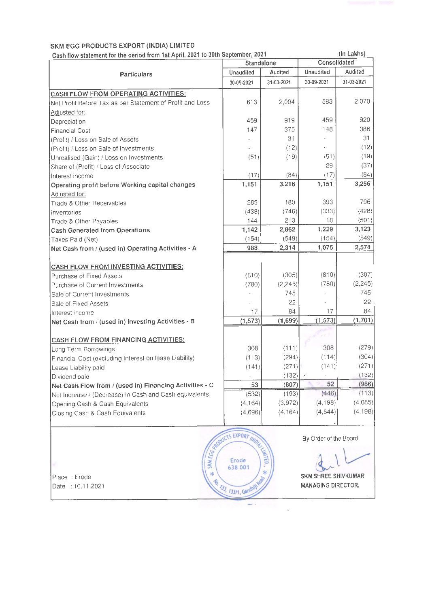### SKM EGG PRODUCTS EXPORT **(INDIA)** LIMITED

Cash flow statement for the period from 1st April, 2021 to 30th September, 2021

|                                                           | Standalone                                     |            | Consolidated               |            |  |
|-----------------------------------------------------------|------------------------------------------------|------------|----------------------------|------------|--|
| Particulars                                               | Unaudited                                      | Audited    | Unaudited                  | Audited    |  |
|                                                           | 30-09-2021                                     | 31-03-2021 | 30-09-2021                 | 31-03-2021 |  |
| CASH FLOW FROM OPERATING ACTIVITIES:                      |                                                |            |                            |            |  |
| Net Profit Before Tax as per Statement of Profit and Loss | 613                                            | 2,004      | 583                        | 2,070      |  |
| Adjusted for:                                             |                                                |            |                            |            |  |
| Depreciation                                              | 459                                            | 919        | 459                        | 920        |  |
| <b>Financial Cost</b>                                     | 147                                            | 375        | 148                        | 386        |  |
| (Profit) / Loss on Sale of Assets                         |                                                | 31         |                            | 31         |  |
| (Profit) / Loss on Sale of Investments                    |                                                | (12)       |                            | (12)       |  |
| Unrealised (Gain) / Loss on Investments                   | (51)                                           | (19)       | (51)                       | (19)       |  |
| Share of (Profit) / Loss of Associate                     |                                                |            | 29                         | (37)       |  |
| Interest income                                           | (17)                                           | (84)       | (17)                       | (84)       |  |
| Operating profit before Working capital changes           | 1,151                                          | 3,216      | 1,151                      | 3,256      |  |
| Adjusted for:                                             |                                                |            |                            |            |  |
| Trade & Other Receivables                                 | 285                                            | 180        | 393                        | 796        |  |
| Inventories                                               | (438)                                          | (746)      | (333)                      | (428)      |  |
| Trade & Other Payables                                    | 144                                            | 213        | 18                         | (501)      |  |
| <b>Cash Generated from Operations</b>                     | 1,142                                          | 2,862      | 1,229                      | 3,123      |  |
| Taxes Paid (Net)                                          | (154)                                          | (549)      | (154)                      | (549)      |  |
| Net Cash from / (used in) Operating Activities - A        | 988                                            | 2,314      | 1,075                      | 2,574      |  |
|                                                           |                                                |            |                            |            |  |
| <b>CASH FLOW FROM INVESTING ACTIVITIES:</b>               |                                                |            |                            |            |  |
| Purchase of Fixed Assets                                  | (810)                                          | (305)      | (810)                      | (307)      |  |
| Purchase of Current Investments                           | (780)                                          | (2, 245)   | (780)                      | (2, 245)   |  |
| Sale of Current Investments                               |                                                | 745        |                            | 745        |  |
| Sale of Fixed Assets                                      |                                                | 22         |                            | 22         |  |
| Interest income                                           | 17                                             | 84         | 17                         | 84         |  |
| Net Cash from / (used in) Investing Activities - B        | (1, 573)                                       | (1,699)    | (1, 573)                   | (1,701)    |  |
|                                                           |                                                |            |                            |            |  |
| <b>CASH FLOW FROM FINANCING ACTIVITIES:</b>               |                                                |            |                            |            |  |
| Long Term Borrowings                                      | 308                                            | (111)      | 308                        | (279)      |  |
| Financial Cost (excluding Interest on lease Liability)    | (113)                                          | (294)      | (114)                      | (304)      |  |
| Lease Liability paid                                      | (141)                                          | (271)      | (141)                      | (271)      |  |
| Dividend paid                                             |                                                | (132)      |                            | (132)      |  |
| Net Cash Flow from / (used in) Financing Activities - C   | 53                                             | (807)      | 52                         | (986)      |  |
| Net Increase / (Decrease) in Cash and Cash equivalents    | (532)                                          | (193)      | (446)                      | (113)      |  |
| Opening Cash & Cash Equivalents                           | (4, 164)                                       | (3,972)    | (4, 198)                   | (4,085)    |  |
| Closing Cash & Cash Equivalents                           | (4,696)                                        | (4, 164)   | (4,644)                    | (4, 198)   |  |
|                                                           | Erode<br>Erode<br>Erode<br>S. Erode<br>638 001 |            | By Order of the Board      |            |  |
|                                                           |                                                | $*$        |                            |            |  |
| 冰<br>Place : Erode                                        |                                                | Ø,         | <b>SKM SHREE SHIVKUMAR</b> |            |  |

Date : 10.11.2021



**MAG** 

 $\overline{a}$ 

**MANAGING** DIRECTOR.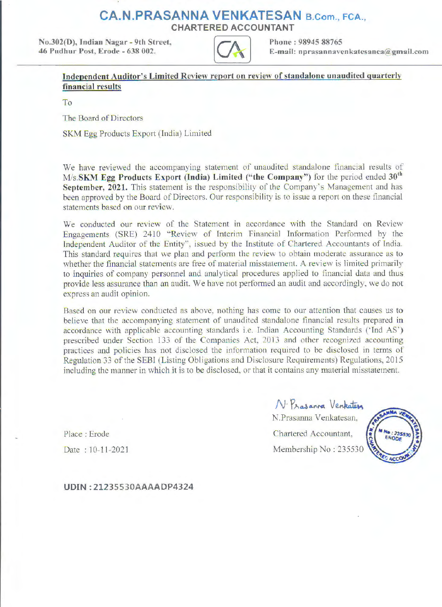# **CA.N.PRASANNA VENKATESAN** B.Com., FCA.,

CHARTERED ACCOUNTANT

No.302(D), Indian Nagar - 9th Street. 46 Pudhur **Post,** Erode - 6J8 002.



Phone: 98945 88765 E-mail: nprasannavenkatesanca@gmail.com

### **Independent Auditor's Limited Review report on review of standalone unaudited quarterly financial results**

To

The Board of Directors

SKM Egg Products Export (India) Limited

We have reviewed the accompanying statement of unaudited standalone financial results of **M/s.SKM Egg Products Export (India) Limited ("the Company'')** for the period ended **30°<sup>1</sup>** September, 2021. This statement is the responsibility of the Company's Management and has been approved by the Board of Directors. Our responsibility is to issue a report on these financial statements based on our review.

We conducted our review of the Statement in accordance with the Standard on Review Engagements (SRE) 2410 "Review of Interim Financial Information Performed by the Independent Auditor of the Entity", issued by the Institute of Chartered Accountants of India. This standard requires that we plan and perform the review to obtain moderate assurance as to whether the financial statements are free of material misstatement. A review is limited primarily to inquiries of company personnel and analytical procedures applied to financial data and thus provide less assurance than an audit. We have not performed an audit and accordingly, we do not express an audit opinion.

Based on our review conducted as above, nothing has come to our attention that causes us to believe that the accompanying statement of unaudited standalone financial results prepared in accordance with applicable accounting standards i.e. Indian Accounting Standards ('Ind AS') prescribed under Section 133 of the Companies Act, 2013 and other recognized accounting practices and policies has not disclosed the information required to be disclosed in terms of Regulation 33 of the SEBI (Listing Obligations and Disclosure Requirements) Regulations, 2015 including the manner in which it is to be disclosed, or that it contains any material misstatement.

Place : Erode Date : 10-11-2021

 $N \cdot P$ rasanna Venkaters N.Prasanna Venkatesan. Chartered Accountant, Membership No: 235530



**UDIN: 21235530AAAADP4324**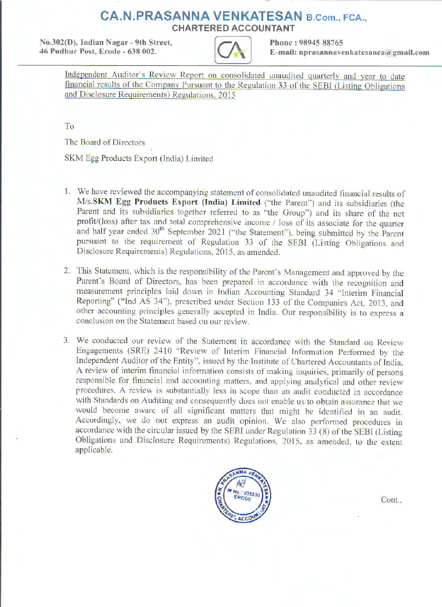# **CA.N.PRASANNA VENKATESAN B.Com., FCA., CHARTERED ACCOUNTANT**

**No.302(D), Indian Nagar - 9th Street. Phone : 98945 88765 46 Pudhur Post, Erode - 638 002.** 



E-mail: nprasannavenkatesanca@gmail.com

Independent Auditor's Review Report on consolidated unaudited quarterly and year to date financial results of the Company Pursuant to the Regulation 33 of the SEBI (Listing Obligations and Disclosure Requirements) Regulations. 2015

To

The Board of Directors

SKM Egg Products Export (India) Limited

- 1. We have reviewed the accompanying statement of consolidated unaudited financial results of **M/s.SKM Egg Products Export (India) Limited** ('"the Parent") and its subsidiaries (the Parent and its subsidiaries together referred to as "the Group") and its share of the net profit/(loss) after tax and total comprehensive income / loss of its associate for the quarter and half year ended 30<sup>th</sup> September 2021 ("the Statement"), being submitted by the Parent pursuant to the requirement of Regulation 33 of the SEBI (Listing Obligations and Disclosure Requirements) Regulations, 2015, as amended.
- 2. This Statement, which is the responsibility of the Parent's Management and approved by the Parent's Board of Directors, has been prepared in accordance with the recognition and measurement principles laid down in Indian Accounting Standard 34 "Interim Financial Reporting'' ("Ind AS 34"), prescribed under Section 133 of the Companies Act, 2013, and other accounting principles generally accepted in India. Our responsibility is to express a conclusion on the Statement based on our review.
- 3. We conducted our review of the Statement in accordance with the Standard on Review Engagements (SRE) 2410 "Review of Interim Financial Information Performed by the Independent Auditor of the Entity", issued by the Institute of Chartered Accountants of India. A review of interim financial information consists of making inquiries, primarily of persons responsible for financial and accounting matters, and applying analytical and other review procedures. A review is substantially less in scope than an audit conducted in accordance with Standards on Auditing and consequently does not enable us to obtain assurance that we would become aware of all significant matters that might be identified in an audit. Accordingly, we do not express an audit opinion. We also performed procedures in accordance with the circular issued by the SEBI under Regulation 33 (8) of the SEBI (Listing Obligations and Disclosure Requirements) Regulations. 2015. as amended, to the extent applicable.



Cont..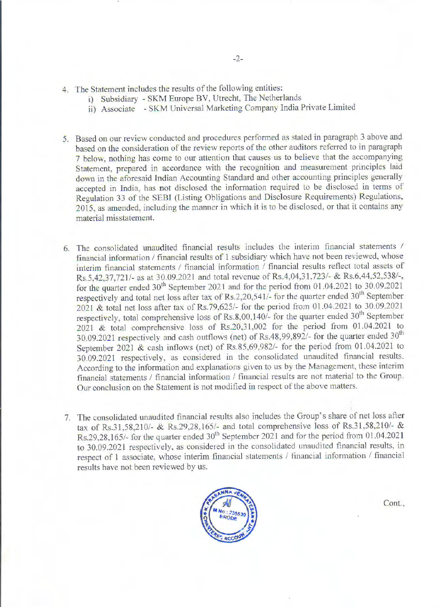- 4. The Statement includes the results of the following entities:
	- i) Subsidiary SKM Europe BV, Utrecht, The Netherlands
	- ii) Associate SKM Universal Marketing Company India Private Limited
- 5. Based on our review conducted and procedures performed as stated in paragraph 3 above and based on the consideration of the review reports of the other auditors referred to in paragraph 7 below, nothing has come to our attention that causes us to believe that the accompanying Statement, prepared in accordance with the recognition and measurement principles laid down in the aforesaid fndian Accounting Standard and other accounting principles generally accepted in India, has not disclosed the information required to be disclosed in terms of Regulation 33 of the SEBI (Listing Obligations and Disclosure Requirements) Regulations. 2015, as amended, including the manner in which it is to be disclosed, or that it contains any material misstatement.
- 6. The consolidated unaudited financial results includes the interim financial statements / financial information / financial results of 1 subsidiary which have not been reviewed, whose interim financial statements / financial information / financial results reflect total assets of Rs.5,42,37,721/- as at 30.09.2021 and total revenue of Rs.4,04,31,723/- & Rs.6,44,52,538/-, for the quarter ended  $30<sup>th</sup>$  September 2021 and for the period from 01.04.2021 to 30.09.2021 respectively and total net loss after tax of Rs.2,20,541/- for the quarter ended  $30<sup>th</sup>$  September 2021 & total net loss after tax of Rs.79,625/- for the period from 01.04.2021 to 30.09.2021 respectively, total comprehensive loss of Rs.8,00,140/- for the quarter ended  $30<sup>th</sup>$  September 2021 & total comprehensive loss of Rs.20,31.002 for the period from 01.04.2021 to 30.09.2021 respectively and cash outflows (net) of Rs.48,99,892/- for the quarter ended  $30<sup>th</sup>$ September 2021 & cash inflows (net) of Rs.85,69,982/- for the period from  $01.04.2021$  to 30.09.2021 respectively, as considered in the consolidated unaudited financial results. According to the information and explanations given to us by the Management, these interim financial statements / financial information / financial results are not material to the Group. Our conclusion on the Statement is not modified in respect of the above matters.
- 7. The consolidated unaudited financial results also includes the Group's share of net loss after tax of Rs.31,58,210/- & Rs.2928, 165/- and total comprehensive loss of Rs.31,58,210/- & Rs.29,28,165/- for the quarter ended  $30<sup>th</sup>$  September 2021 and for the period from 01.04.2021 to 30.09.2021 respectively, as considered in the consolidated unaudited financial results, in respect of 1 associate, whose interim financial statements / financial information / financial results have not been reviewed by us.



Cont.,